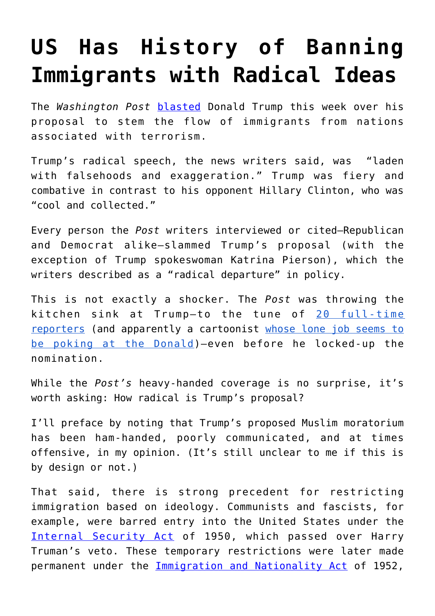## **[US Has History of Banning](https://intellectualtakeout.org/2016/06/us-has-history-of-banning-immigrants-with-radical-ideas/) [Immigrants with Radical Ideas](https://intellectualtakeout.org/2016/06/us-has-history-of-banning-immigrants-with-radical-ideas/)**

The *Washington Post* [blasted](https://www.washingtonpost.com/politics/trump-pushes-expanded-ban-on-muslims-and-other-foreigners/2016/06/13/c9988e96-317d-11e6-8ff7-7b6c1998b7a0_story.html) Donald Trump this week over his proposal to stem the flow of immigrants from nations associated with terrorism.

Trump's radical speech, the news writers said, was "laden with falsehoods and exaggeration." Trump was fiery and combative in contrast to his opponent Hillary Clinton, who was "cool and collected."

Every person the *Post* writers interviewed or cited–Republican and Democrat alike–slammed Trump's proposal (with the exception of Trump spokeswoman Katrina Pierson), which the writers described as a "radical departure" in policy.

This is not exactly a shocker. The *Post* was throwing the kitchen sink at Trump–to the tune of [20 full-time](http://www.washingtonexaminer.com/woodward-20-wapo-reporters-dig-dirt-on-trump-every-phase-of-his-life/article/2591021) [reporters](http://www.washingtonexaminer.com/woodward-20-wapo-reporters-dig-dirt-on-trump-every-phase-of-his-life/article/2591021) (and apparently a cartoonist [whose lone job seems to](https://www.washingtonpost.com/people/tom-toles) [be poking at the Donald\)](https://www.washingtonpost.com/people/tom-toles)–even before he locked-up the nomination.

While the *Post's* heavy-handed coverage is no surprise, it's worth asking: How radical is Trump's proposal?

I'll preface by noting that Trump's proposed Muslim moratorium has been ham-handed, poorly communicated, and at times offensive, in my opinion. (It's still unclear to me if this is by design or not.)

That said, there is strong precedent for restricting immigration based on ideology. Communists and fascists, for example, were barred entry into the United States under the [Internal Security Act](http://www.gilderlehrman.org/history-by-era/postwar-politics-and-origins-cold-war/timeline-terms/internal-security-act-1950) of 1950, which passed over Harry Truman's veto. These temporary restrictions were later made permanent under the [Immigration and Nationality Act](https://www.uscis.gov/laws/immigration-and-nationality-act) of 1952,